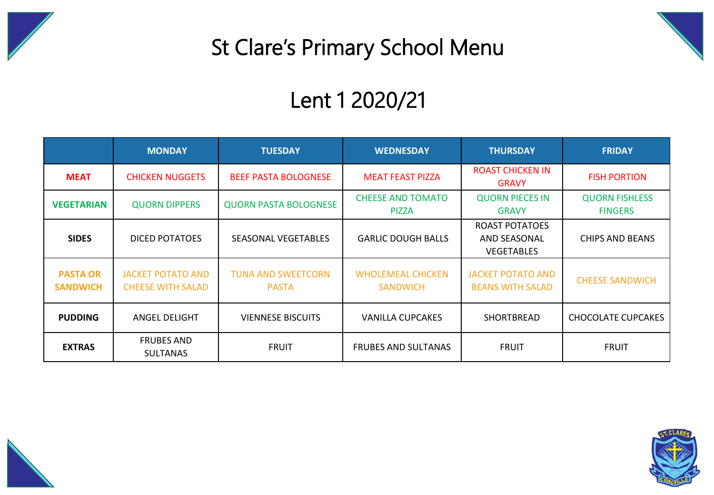

## St Clare's Primary School Menu

## Lent 1 2020/21

|                                    | <b>MONDAY</b>                                        | <b>TUESDAY</b>                            | <b>WEDNESDAY</b>                            | <b>THURSDAY</b>                                                   | <b>FRIDAY</b>                           |  |
|------------------------------------|------------------------------------------------------|-------------------------------------------|---------------------------------------------|-------------------------------------------------------------------|-----------------------------------------|--|
| <b>MEAT</b>                        | <b>CHICKEN NUGGETS</b>                               | <b>BEEF PASTA BOLOGNESE</b>               | <b>MEAT FEAST PIZZA</b>                     | <b>ROAST CHICKEN IN</b><br><b>GRAVY</b>                           | <b>FISH PORTION</b>                     |  |
| <b>VEGETARIAN</b>                  | <b>QUORN DIPPERS</b>                                 | <b>QUORN PASTA BOLOGNESE</b>              | <b>CHEESE AND TOMATO</b><br><b>PIZZA</b>    | <b>QUORN PIECES IN</b><br><b>GRAVY</b>                            | <b>QUORN FISHLESS</b><br><b>FINGERS</b> |  |
| <b>SIDES</b>                       | DICED POTATOES                                       | <b>SEASONAL VEGETABLES</b>                | <b>GARLIC DOUGH BALLS</b>                   | <b>ROAST POTATOES</b><br><b>AND SEASONAL</b><br><b>VEGETABLES</b> | CHIPS AND BEANS                         |  |
| <b>PASTA OR</b><br><b>SANDWICH</b> | <b>JACKET POTATO AND</b><br><b>CHEESE WITH SALAD</b> | <b>TUNA AND SWEETCORN</b><br><b>PASTA</b> | <b>WHOLEMEAL CHICKEN</b><br><b>SANDWICH</b> | <b>JACKET POTATO AND</b><br><b>BEANS WITH SALAD</b>               | <b>CHEESE SANDWICH</b>                  |  |
| <b>PUDDING</b>                     | ANGEL DELIGHT                                        | <b>VIENNESE BISCUITS</b>                  | <b>VANILLA CUPCAKES</b>                     | <b>SHORTBREAD</b>                                                 | CHOCOLATE CUPCAKES                      |  |
| <b>EXTRAS</b>                      | <b>FRUBES AND</b><br><b>SULTANAS</b>                 | <b>FRUIT</b>                              | <b>FRUBES AND SULTANAS</b>                  | <b>FRUIT</b>                                                      | <b>FRUIT</b>                            |  |